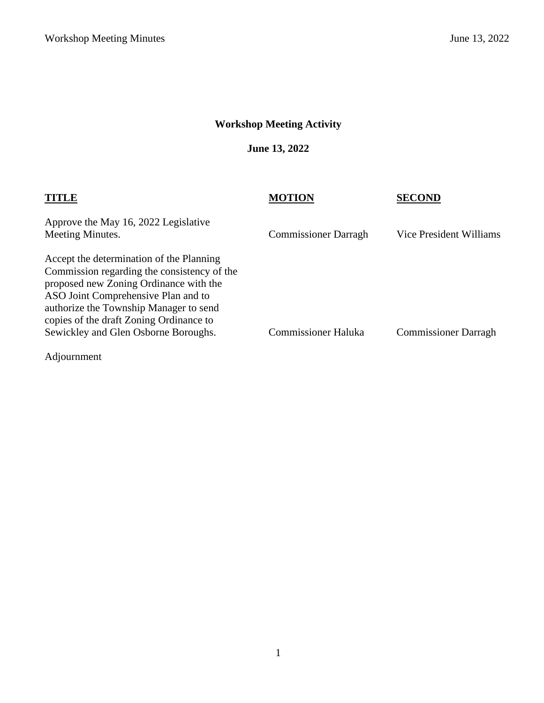# **Workshop Meeting Activity**

**June 13, 2022**

|                                                                                                                                                                                                                                                                                                       | <b>MOTION</b>               | <b>SECOND</b>               |
|-------------------------------------------------------------------------------------------------------------------------------------------------------------------------------------------------------------------------------------------------------------------------------------------------------|-----------------------------|-----------------------------|
| Approve the May 16, 2022 Legislative<br>Meeting Minutes.                                                                                                                                                                                                                                              | <b>Commissioner Darragh</b> | Vice President Williams     |
| Accept the determination of the Planning<br>Commission regarding the consistency of the<br>proposed new Zoning Ordinance with the<br>ASO Joint Comprehensive Plan and to<br>authorize the Township Manager to send<br>copies of the draft Zoning Ordinance to<br>Sewickley and Glen Osborne Boroughs. | <b>Commissioner Haluka</b>  | <b>Commissioner Darragh</b> |
|                                                                                                                                                                                                                                                                                                       |                             |                             |

Adjournment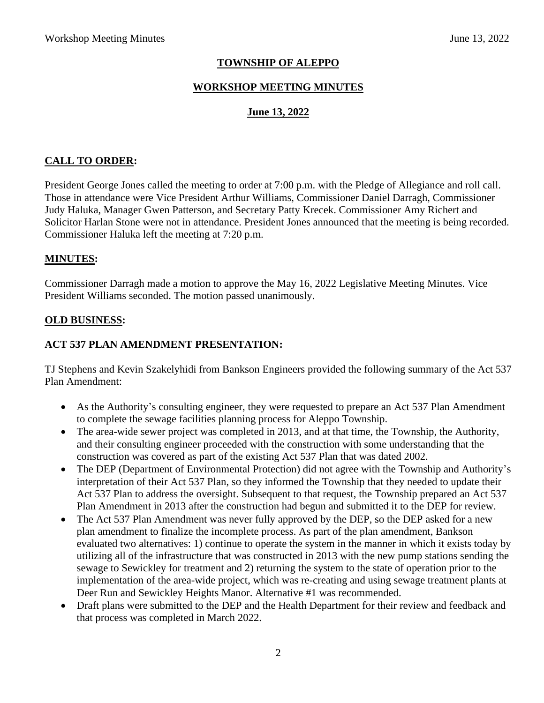# **TOWNSHIP OF ALEPPO**

### **WORKSHOP MEETING MINUTES**

### **June 13, 2022**

### **CALL TO ORDER:**

President George Jones called the meeting to order at 7:00 p.m. with the Pledge of Allegiance and roll call. Those in attendance were Vice President Arthur Williams, Commissioner Daniel Darragh, Commissioner Judy Haluka, Manager Gwen Patterson, and Secretary Patty Krecek. Commissioner Amy Richert and Solicitor Harlan Stone were not in attendance. President Jones announced that the meeting is being recorded. Commissioner Haluka left the meeting at 7:20 p.m.

#### **MINUTES:**

Commissioner Darragh made a motion to approve the May 16, 2022 Legislative Meeting Minutes. Vice President Williams seconded. The motion passed unanimously.

#### **OLD BUSINESS:**

#### **ACT 537 PLAN AMENDMENT PRESENTATION:**

TJ Stephens and Kevin Szakelyhidi from Bankson Engineers provided the following summary of the Act 537 Plan Amendment:

- As the Authority's consulting engineer, they were requested to prepare an Act 537 Plan Amendment to complete the sewage facilities planning process for Aleppo Township.
- The area-wide sewer project was completed in 2013, and at that time, the Township, the Authority, and their consulting engineer proceeded with the construction with some understanding that the construction was covered as part of the existing Act 537 Plan that was dated 2002.
- The DEP (Department of Environmental Protection) did not agree with the Township and Authority's interpretation of their Act 537 Plan, so they informed the Township that they needed to update their Act 537 Plan to address the oversight. Subsequent to that request, the Township prepared an Act 537 Plan Amendment in 2013 after the construction had begun and submitted it to the DEP for review.
- The Act 537 Plan Amendment was never fully approved by the DEP, so the DEP asked for a new plan amendment to finalize the incomplete process. As part of the plan amendment, Bankson evaluated two alternatives: 1) continue to operate the system in the manner in which it exists today by utilizing all of the infrastructure that was constructed in 2013 with the new pump stations sending the sewage to Sewickley for treatment and 2) returning the system to the state of operation prior to the implementation of the area-wide project, which was re-creating and using sewage treatment plants at Deer Run and Sewickley Heights Manor. Alternative #1 was recommended.
- Draft plans were submitted to the DEP and the Health Department for their review and feedback and that process was completed in March 2022.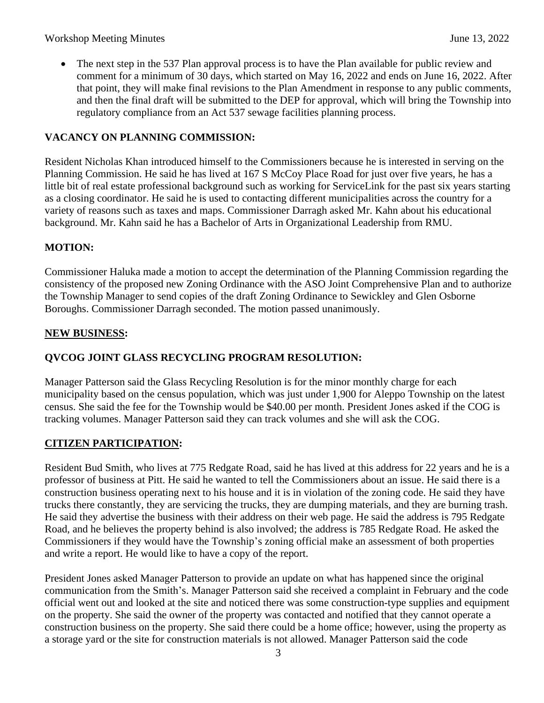• The next step in the 537 Plan approval process is to have the Plan available for public review and comment for a minimum of 30 days, which started on May 16, 2022 and ends on June 16, 2022. After that point, they will make final revisions to the Plan Amendment in response to any public comments, and then the final draft will be submitted to the DEP for approval, which will bring the Township into regulatory compliance from an Act 537 sewage facilities planning process.

# **VACANCY ON PLANNING COMMISSION:**

Resident Nicholas Khan introduced himself to the Commissioners because he is interested in serving on the Planning Commission. He said he has lived at 167 S McCoy Place Road for just over five years, he has a little bit of real estate professional background such as working for ServiceLink for the past six years starting as a closing coordinator. He said he is used to contacting different municipalities across the country for a variety of reasons such as taxes and maps. Commissioner Darragh asked Mr. Kahn about his educational background. Mr. Kahn said he has a Bachelor of Arts in Organizational Leadership from RMU.

# **MOTION:**

Commissioner Haluka made a motion to accept the determination of the Planning Commission regarding the consistency of the proposed new Zoning Ordinance with the ASO Joint Comprehensive Plan and to authorize the Township Manager to send copies of the draft Zoning Ordinance to Sewickley and Glen Osborne Boroughs. Commissioner Darragh seconded. The motion passed unanimously.

### **NEW BUSINESS:**

# **QVCOG JOINT GLASS RECYCLING PROGRAM RESOLUTION:**

Manager Patterson said the Glass Recycling Resolution is for the minor monthly charge for each municipality based on the census population, which was just under 1,900 for Aleppo Township on the latest census. She said the fee for the Township would be \$40.00 per month. President Jones asked if the COG is tracking volumes. Manager Patterson said they can track volumes and she will ask the COG.

# **CITIZEN PARTICIPATION:**

Resident Bud Smith, who lives at 775 Redgate Road, said he has lived at this address for 22 years and he is a professor of business at Pitt. He said he wanted to tell the Commissioners about an issue. He said there is a construction business operating next to his house and it is in violation of the zoning code. He said they have trucks there constantly, they are servicing the trucks, they are dumping materials, and they are burning trash. He said they advertise the business with their address on their web page. He said the address is 795 Redgate Road, and he believes the property behind is also involved; the address is 785 Redgate Road. He asked the Commissioners if they would have the Township's zoning official make an assessment of both properties and write a report. He would like to have a copy of the report.

President Jones asked Manager Patterson to provide an update on what has happened since the original communication from the Smith's. Manager Patterson said she received a complaint in February and the code official went out and looked at the site and noticed there was some construction-type supplies and equipment on the property. She said the owner of the property was contacted and notified that they cannot operate a construction business on the property. She said there could be a home office; however, using the property as a storage yard or the site for construction materials is not allowed. Manager Patterson said the code